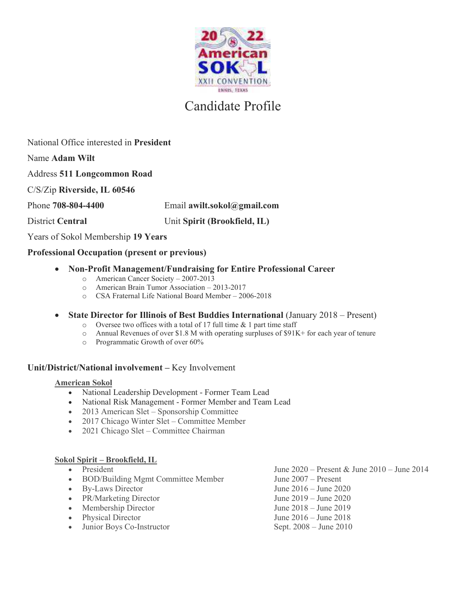

### National Office interested in **President**

Name **Adam Wilt**

Address **511 Longcommon Road**

C/S/Zip **Riverside, IL 60546**

Phone **708-804-4400** Email **awilt.sokol@gmail.com**

## District **Central** Unit **Spirit (Brookfield, IL)**

Years of Sokol Membership **19 Years**

### **Professional Occupation (present or previous)**

- · **Non-Profit Management/Fundraising for Entire Professional Career**
	- o American Cancer Society 2007-2013
	- o American Brain Tumor Association 2013-2017
	- o CSA Fraternal Life National Board Member 2006-2018
- · **State Director for Illinois of Best Buddies International** (January 2018 Present)
	- o Oversee two offices with a total of 17 full time & 1 part time staff
	- o Annual Revenues of over \$1.8 M with operating surpluses of \$91K+ for each year of tenure
	- o Programmatic Growth of over 60%

#### **Unit/District/National involvement –** Key Involvement

#### **American Sokol**

- · National Leadership Development Former Team Lead
- · National Risk Management Former Member and Team Lead
- · 2013 American Slet Sponsorship Committee
- 2017 Chicago Winter Slet Committee Member
- · 2021 Chicago Slet Committee Chairman

#### **Sokol Spirit – Brookfield, IL**

- 
- · BOD/Building Mgmt Committee Member June 2007 Present
- 
- PR/Marketing Director June 2019 June 2020
- Membership Director June 2018 June 2019
- 
- Junior Boys Co-Instructor Sept. 2008 June 2010
- President June 2020 Present & June 2010 June 2014 • By-Laws Director June 2016 – June 2020 • Physical Director June 2016 – June 2018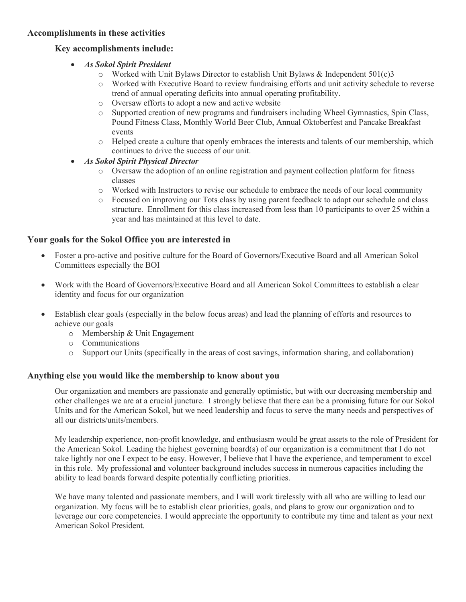#### **Accomplishments in these activities**

#### **Key accomplishments include:**

- · *As Sokol Spirit President* 
	- $\circ$  Worked with Unit Bylaws Director to establish Unit Bylaws & Independent 501(c)3
	- o Worked with Executive Board to review fundraising efforts and unit activity schedule to reverse trend of annual operating deficits into annual operating profitability.
	- o Oversaw efforts to adopt a new and active website
	- o Supported creation of new programs and fundraisers including Wheel Gymnastics, Spin Class, Pound Fitness Class, Monthly World Beer Club, Annual Oktoberfest and Pancake Breakfast events
	- o Helped create a culture that openly embraces the interests and talents of our membership, which continues to drive the success of our unit.
- · *As Sokol Spirit Physical Director*
	- o Oversaw the adoption of an online registration and payment collection platform for fitness classes
	- o Worked with Instructors to revise our schedule to embrace the needs of our local community
	- o Focused on improving our Tots class by using parent feedback to adapt our schedule and class structure. Enrollment for this class increased from less than 10 participants to over 25 within a year and has maintained at this level to date.

#### **Your goals for the Sokol Office you are interested in**

- · Foster a pro-active and positive culture for the Board of Governors/Executive Board and all American Sokol Committees especially the BOI
- · Work with the Board of Governors/Executive Board and all American Sokol Committees to establish a clear identity and focus for our organization
- · Establish clear goals (especially in the below focus areas) and lead the planning of efforts and resources to achieve our goals
	- o Membership & Unit Engagement
	- o Communications
	- o Support our Units (specifically in the areas of cost savings, information sharing, and collaboration)

#### **Anything else you would like the membership to know about you**

Our organization and members are passionate and generally optimistic, but with our decreasing membership and other challenges we are at a crucial juncture. I strongly believe that there can be a promising future for our Sokol Units and for the American Sokol, but we need leadership and focus to serve the many needs and perspectives of all our districts/units/members.

My leadership experience, non-profit knowledge, and enthusiasm would be great assets to the role of President for the American Sokol. Leading the highest governing board(s) of our organization is a commitment that I do not take lightly nor one I expect to be easy. However, I believe that I have the experience, and temperament to excel in this role. My professional and volunteer background includes success in numerous capacities including the ability to lead boards forward despite potentially conflicting priorities.

We have many talented and passionate members, and I will work tirelessly with all who are willing to lead our organization. My focus will be to establish clear priorities, goals, and plans to grow our organization and to leverage our core competencies. I would appreciate the opportunity to contribute my time and talent as your next American Sokol President.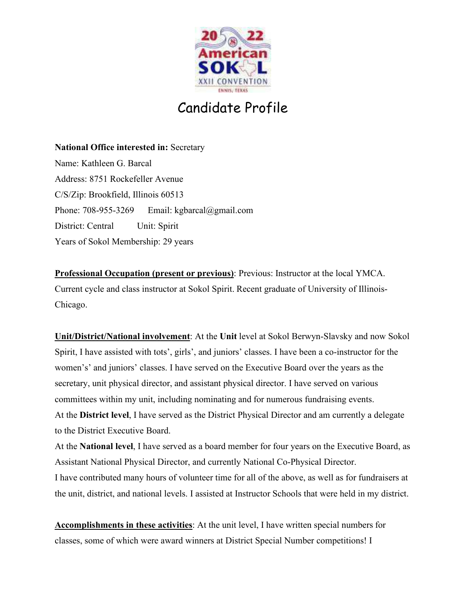

**National Office interested in:** Secretary Name: Kathleen G. Barcal Address: 8751 Rockefeller Avenue C/S/Zip: Brookfield, Illinois 60513 Phone: 708-955-3269 Email: kgbarcal@gmail.com District: Central Unit: Spirit Years of Sokol Membership: 29 years

**Professional Occupation (present or previous)**: Previous: Instructor at the local YMCA. Current cycle and class instructor at Sokol Spirit. Recent graduate of University of Illinois-Chicago.

**Unit/District/National involvement**: At the **Unit** level at Sokol Berwyn-Slavsky and now Sokol Spirit, I have assisted with tots', girls', and juniors' classes. I have been a co-instructor for the women's' and juniors' classes. I have served on the Executive Board over the years as the secretary, unit physical director, and assistant physical director. I have served on various committees within my unit, including nominating and for numerous fundraising events. At the **District level**, I have served as the District Physical Director and am currently a delegate to the District Executive Board.

At the **National level**, I have served as a board member for four years on the Executive Board, as Assistant National Physical Director, and currently National Co-Physical Director.

I have contributed many hours of volunteer time for all of the above, as well as for fundraisers at the unit, district, and national levels. I assisted at Instructor Schools that were held in my district.

**Accomplishments in these activities**: At the unit level, I have written special numbers for classes, some of which were award winners at District Special Number competitions! I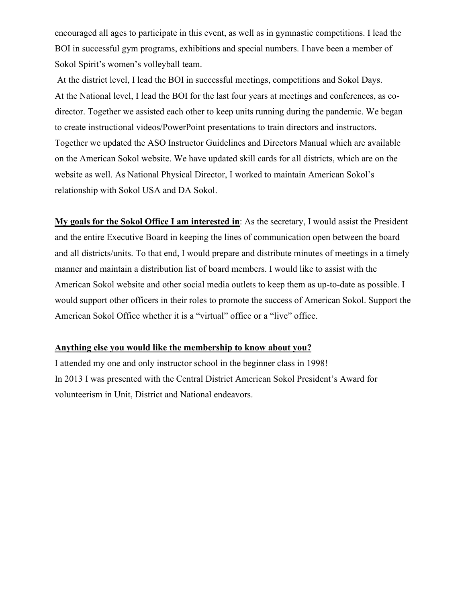encouraged all ages to participate in this event, as well as in gymnastic competitions. I lead the BOI in successful gym programs, exhibitions and special numbers. I have been a member of Sokol Spirit's women's volleyball team.

 At the district level, I lead the BOI in successful meetings, competitions and Sokol Days. At the National level, I lead the BOI for the last four years at meetings and conferences, as codirector. Together we assisted each other to keep units running during the pandemic. We began to create instructional videos/PowerPoint presentations to train directors and instructors. Together we updated the ASO Instructor Guidelines and Directors Manual which are available on the American Sokol website. We have updated skill cards for all districts, which are on the website as well. As National Physical Director, I worked to maintain American Sokol's relationship with Sokol USA and DA Sokol.

**My goals for the Sokol Office I am interested in**: As the secretary, I would assist the President and the entire Executive Board in keeping the lines of communication open between the board and all districts/units. To that end, I would prepare and distribute minutes of meetings in a timely manner and maintain a distribution list of board members. I would like to assist with the American Sokol website and other social media outlets to keep them as up-to-date as possible. I would support other officers in their roles to promote the success of American Sokol. Support the American Sokol Office whether it is a "virtual" office or a "live" office.

#### **Anything else you would like the membership to know about you?**

I attended my one and only instructor school in the beginner class in 1998! In 2013 I was presented with the Central District American Sokol President's Award for volunteerism in Unit, District and National endeavors.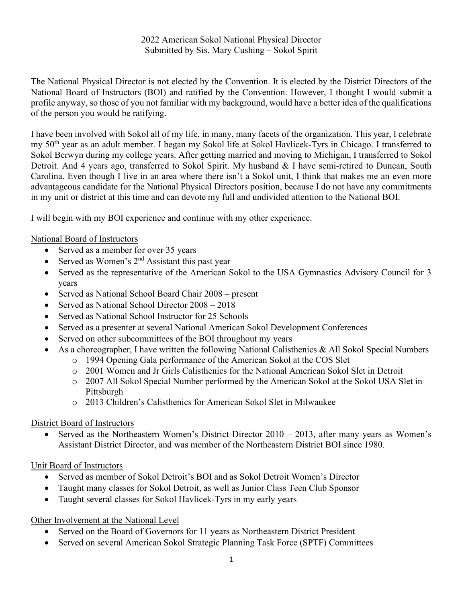2022 American Sokol National Physical Director Submitted by Sis. Mary Cushing – Sokol Spirit

The National Physical Director is not elected by the Convention. It is elected by the District Directors of the National Board of Instructors (BOI) and ratified by the Convention. However, I thought I would submit a profile anyway, so those of you not familiar with my background, would have a better idea of the qualifications of the person you would be ratifying.

I have been involved with Sokol all of my life, in many, many facets of the organization. This year, I celebrate my 50<sup>th</sup> year as an adult member. I began my Sokol life at Sokol Havlicek-Tyrs in Chicago. I transferred to Sokol Berwyn during my college years. After getting married and moving to Michigan, I transferred to Sokol Detroit. And 4 years ago, transferred to Sokol Spirit. My husband & I have semi-retired to Duncan, South Carolina. Even though I live in an area where there isn't a Sokol unit, I think that makes me an even more advantageous candidate for the National Physical Directors position, because I do not have any commitments in my unit or district at this time and can devote my full and undivided attention to the National BOI.

I will begin with my BOI experience and continue with my other experience.

#### National Board of Instructors

- Served as a member for over 35 years
- Served as Women's  $2<sup>nd</sup>$  Assistant this past year
- Served as the representative of the American Sokol to the USA Gymnastics Advisory Council for 3 years
- Served as National School Board Chair 2008 present
- Served as National School Director  $2008 2018$
- Served as National School Instructor for 25 Schools
- Served as a presenter at several National American Sokol Development Conferences
- Served on other subcommittees of the BOI throughout my years
- As a choreographer, I have written the following National Calisthenics & All Sokol Special Numbers
	- o 1994 Opening Gala performance of the American Sokol at the COS Slet
	- o 2001 Women and Jr Girls Calisthenics for the National American Sokol Slet in Detroit
	- o 2007 All Sokol Special Number performed by the American Sokol at the Sokol USA Slet in Pittsburgh
	- o 2013 Children's Calisthenics for American Sokol Slet in Milwaukee

#### District Board of Instructors

Served as the Northeastern Women's District Director  $2010 - 2013$ , after many years as Women's Assistant District Director, and was member of the Northeastern District BOI since 1980.

#### Unit Board of Instructors

- Served as member of Sokol Detroit's BOI and as Sokol Detroit Women's Director
- Taught many classes for Sokol Detroit, as well as Junior Class Teen Club Sponsor
- Taught several classes for Sokol Havlicek-Tyrs in my early years

#### Other Involvement at the National Level

- Served on the Board of Governors for 11 years as Northeastern District President
- Served on several American Sokol Strategic Planning Task Force (SPTF) Committees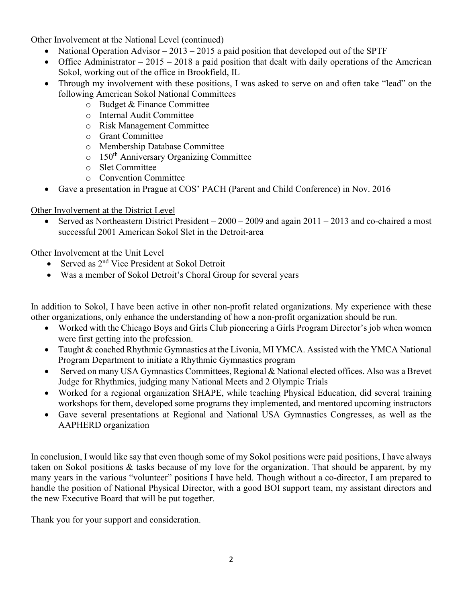Other Involvement at the National Level (continued)

- National Operation Advisor 2013 2015 a paid position that developed out of the SPTF
- Office Administrator  $-2015 2018$  a paid position that dealt with daily operations of the American Sokol, working out of the office in Brookfield, IL
- Through my involvement with these positions, I was asked to serve on and often take "lead" on the following American Sokol National Committees
	- o Budget & Finance Committee
	- o Internal Audit Committee
	- o Risk Management Committee
	- o Grant Committee
	- o Membership Database Committee
	- o 150th Anniversary Organizing Committee
	- o Slet Committee
	- o Convention Committee
- Gave a presentation in Prague at COS' PACH (Parent and Child Conference) in Nov. 2016

### Other Involvement at the District Level

Served as Northeastern District President –  $2000 - 2009$  and again  $2011 - 2013$  and co-chaired a most successful 2001 American Sokol Slet in the Detroit-area

## Other Involvement at the Unit Level

- Served as 2<sup>nd</sup> Vice President at Sokol Detroit
- Was a member of Sokol Detroit's Choral Group for several years

In addition to Sokol, I have been active in other non-profit related organizations. My experience with these other organizations, only enhance the understanding of how a non-profit organization should be run.

- Worked with the Chicago Boys and Girls Club pioneering a Girls Program Director's job when women were first getting into the profession.
- Taught & coached Rhythmic Gymnastics at the Livonia, MI YMCA. Assisted with the YMCA National Program Department to initiate a Rhythmic Gymnastics program
- Served on many USA Gymnastics Committees, Regional & National elected offices. Also was a Brevet Judge for Rhythmics, judging many National Meets and 2 Olympic Trials
- Worked for a regional organization SHAPE, while teaching Physical Education, did several training workshops for them, developed some programs they implemented, and mentored upcoming instructors
- Gave several presentations at Regional and National USA Gymnastics Congresses, as well as the AAPHERD organization

In conclusion, I would like say that even though some of my Sokol positions were paid positions, I have always taken on Sokol positions & tasks because of my love for the organization. That should be apparent, by my many years in the various "volunteer" positions I have held. Though without a co-director, I am prepared to handle the position of National Physical Director, with a good BOI support team, my assistant directors and the new Executive Board that will be put together.

Thank you for your support and consideration.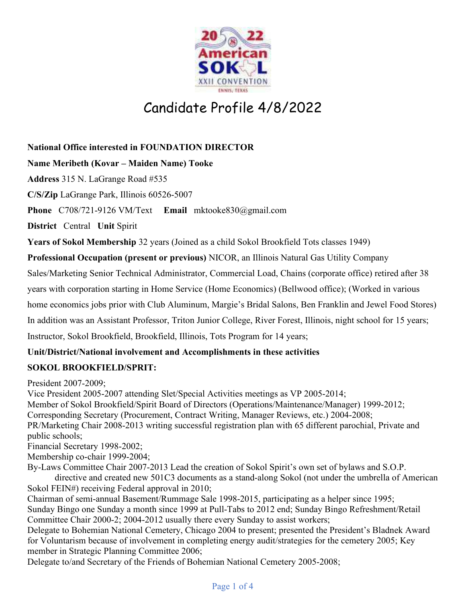

# Candidate Profile 4/8/2022

## **National Office interested in FOUNDATION DIRECTOR**

## **Name Meribeth (Kovar – Maiden Name) Tooke**

**Address** 315 N. LaGrange Road #535

**C/S/Zip** LaGrange Park, Illinois 60526-5007

**Phone** C708/721-9126 VM/Text **Email** mktooke830@gmail.com

**District** Central **Unit** Spirit

**Years of Sokol Membership** 32 years (Joined as a child Sokol Brookfield Tots classes 1949)

**Professional Occupation (present or previous)** NICOR, an Illinois Natural Gas Utility Company

Sales/Marketing Senior Technical Administrator, Commercial Load, Chains (corporate office) retired after 38

years with corporation starting in Home Service (Home Economics) (Bellwood office); (Worked in various

home economics jobs prior with Club Aluminum, Margie's Bridal Salons, Ben Franklin and Jewel Food Stores)

In addition was an Assistant Professor, Triton Junior College, River Forest, Illinois, night school for 15 years;

Instructor, Sokol Brookfield, Brookfield, Illinois, Tots Program for 14 years;

## **Unit/District/National involvement and Accomplishments in these activities**

## **SOKOL BROOKFIELD/SPRIT:**

President 2007-2009;

Vice President 2005-2007 attending Slet/Special Activities meetings as VP 2005-2014;

Member of Sokol Brookfield/Spirit Board of Directors (Operations/Maintenance/Manager) 1999-2012;

Corresponding Secretary (Procurement, Contract Writing, Manager Reviews, etc.) 2004-2008;

PR/Marketing Chair 2008-2013 writing successful registration plan with 65 different parochial, Private and public schools;

Financial Secretary 1998-2002;

Membership co-chair 1999-2004;

By-Laws Committee Chair 2007-2013 Lead the creation of Sokol Spirit's own set of bylaws and S.O.P.

 directive and created new 501C3 documents as a stand-along Sokol (not under the umbrella of American Sokol FEIN#) receiving Federal approval in 2010;

Chairman of semi-annual Basement/Rummage Sale 1998-2015, participating as a helper since 1995; Sunday Bingo one Sunday a month since 1999 at Pull-Tabs to 2012 end; Sunday Bingo Refreshment/Retail Committee Chair 2000-2; 2004-2012 usually there every Sunday to assist workers;

Delegate to Bohemian National Cemetery, Chicago 2004 to present; presented the President's Bladnek Award for Voluntarism because of involvement in completing energy audit/strategies for the cemetery 2005; Key member in Strategic Planning Committee 2006;

Delegate to/and Secretary of the Friends of Bohemian National Cemetery 2005-2008;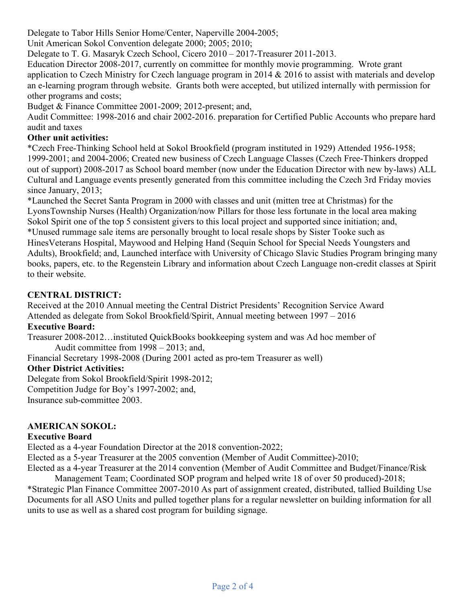Delegate to Tabor Hills Senior Home/Center, Naperville 2004-2005;

Unit American Sokol Convention delegate 2000; 2005; 2010;

Delegate to T. G. Masaryk Czech School, Cicero 2010 – 2017-Treasurer 2011-2013.

Education Director 2008-2017, currently on committee for monthly movie programming. Wrote grant application to Czech Ministry for Czech language program in 2014 & 2016 to assist with materials and develop an e-learning program through website. Grants both were accepted, but utilized internally with permission for other programs and costs;

Budget & Finance Committee 2001-2009; 2012-present; and,

Audit Committee: 1998-2016 and chair 2002-2016. preparation for Certified Public Accounts who prepare hard audit and taxes

### **Other unit activities:**

\*Czech Free-Thinking School held at Sokol Brookfield (program instituted in 1929) Attended 1956-1958; 1999-2001; and 2004-2006; Created new business of Czech Language Classes (Czech Free-Thinkers dropped out of support) 2008-2017 as School board member (now under the Education Director with new by-laws) ALL Cultural and Language events presently generated from this committee including the Czech 3rd Friday movies since January, 2013;

\*Launched the Secret Santa Program in 2000 with classes and unit (mitten tree at Christmas) for the LyonsTownship Nurses (Health) Organization/now Pillars for those less fortunate in the local area making Sokol Spirit one of the top 5 consistent givers to this local project and supported since initiation; and, \*Unused rummage sale items are personally brought to local resale shops by Sister Tooke such as HinesVeterans Hospital, Maywood and Helping Hand (Sequin School for Special Needs Youngsters and Adults), Brookfield; and, Launched interface with University of Chicago Slavic Studies Program bringing many books, papers, etc. to the Regenstein Library and information about Czech Language non-credit classes at Spirit to their website.

## **CENTRAL DISTRICT:**

Received at the 2010 Annual meeting the Central District Presidents' Recognition Service Award Attended as delegate from Sokol Brookfield/Spirit, Annual meeting between 1997 – 2016 **Executive Board:** 

Treasurer 2008-2012…instituted QuickBooks bookkeeping system and was Ad hoc member of Audit committee from 1998 – 2013; and,

Financial Secretary 1998-2008 (During 2001 acted as pro-tem Treasurer as well)

## **Other District Activities:**

Delegate from Sokol Brookfield/Spirit 1998-2012; Competition Judge for Boy's 1997-2002; and, Insurance sub-committee 2003.

## **AMERICAN SOKOL:**

### **Executive Board**

Elected as a 4-year Foundation Director at the 2018 convention-2022;

Elected as a 5-year Treasurer at the 2005 convention (Member of Audit Committee)-2010;

Elected as a 4-year Treasurer at the 2014 convention (Member of Audit Committee and Budget/Finance/Risk Management Team; Coordinated SOP program and helped write 18 of over 50 produced)-2018;

\*Strategic Plan Finance Committee 2007-2010 As part of assignment created, distributed, tallied Building Use Documents for all ASO Units and pulled together plans for a regular newsletter on building information for all units to use as well as a shared cost program for building signage.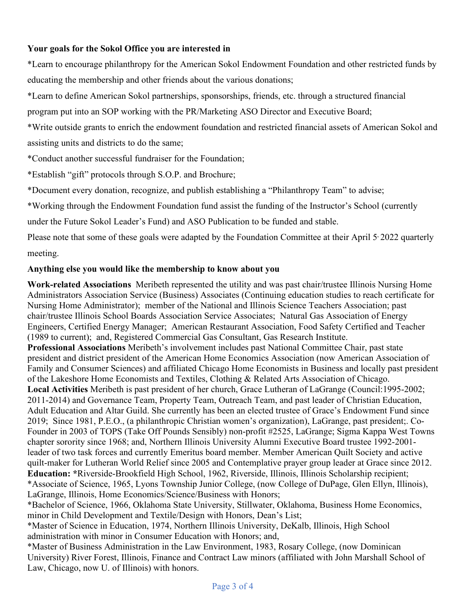### **Your goals for the Sokol Office you are interested in**

\*Learn to encourage philanthropy for the American Sokol Endowment Foundation and other restricted funds by educating the membership and other friends about the various donations;

\*Learn to define American Sokol partnerships, sponsorships, friends, etc. through a structured financial

program put into an SOP working with the PR/Marketing ASO Director and Executive Board;

\*Write outside grants to enrich the endowment foundation and restricted financial assets of American Sokol and assisting units and districts to do the same;

\*Conduct another successful fundraiser for the Foundation;

\*Establish "gift" protocols through S.O.P. and Brochure;

\*Document every donation, recognize, and publish establishing a "Philanthropy Team" to advise;

\*Working through the Endowment Foundation fund assist the funding of the Instructor's School (currently

under the Future Sokol Leader's Fund) and ASO Publication to be funded and stable.

Please note that some of these goals were adapted by the Foundation Committee at their April 5<sup>,</sup> 2022 quarterly meeting.

### **Anything else you would like the membership to know about you**

**Work-related Associations** Meribeth represented the utility and was past chair/trustee Illinois Nursing Home Administrators Association Service (Business) Associates (Continuing education studies to reach certificate for Nursing Home Administrator); member of the National and Illinois Science Teachers Association; past chair/trustee Illinois School Boards Association Service Associates; Natural Gas Association of Energy Engineers, Certified Energy Manager; American Restaurant Association, Food Safety Certified and Teacher (1989 to current); and, Registered Commercial Gas Consultant, Gas Research Institute. **Professional Associations** Meribeth's involvement includes past National Committee Chair, past state president and district president of the American Home Economics Association (now American Association of Family and Consumer Sciences) and affiliated Chicago Home Economists in Business and locally past president of the Lakeshore Home Economists and Textiles, Clothing & Related Arts Association of Chicago. **Local Activities** Meribeth is past president of her church, Grace Lutheran of LaGrange (Council:1995-2002; 2011-2014) and Governance Team, Property Team, Outreach Team, and past leader of Christian Education, Adult Education and Altar Guild. She currently has been an elected trustee of Grace's Endowment Fund since 2019; Since 1981, P.E.O., (a philanthropic Christian women's organization), LaGrange, past president;. Co-Founder in 2003 of TOPS (Take Off Pounds Sensibly) non-profit #2525, LaGrange; Sigma Kappa West Towns chapter sorority since 1968; and, Northern Illinois University Alumni Executive Board trustee 1992-2001 leader of two task forces and currently Emeritus board member. Member American Quilt Society and active quilt-maker for Lutheran World Relief since 2005 and Contemplative prayer group leader at Grace since 2012. **Education: \***Riverside-Brookfield High School, 1962, Riverside, Illinois, Illinois Scholarship recipient; \*Associate of Science, 1965, Lyons Township Junior College, (now College of DuPage, Glen Ellyn, Illinois), LaGrange, Illinois, Home Economics/Science/Business with Honors;

\*Bachelor of Science, 1966, Oklahoma State University, Stillwater, Oklahoma, Business Home Economics, minor in Child Development and Textile/Design with Honors, Dean's List;

\*Master of Science in Education, 1974, Northern Illinois University, DeKalb, Illinois, High School administration with minor in Consumer Education with Honors; and,

\*Master of Business Administration in the Law Environment, 1983, Rosary College, (now Dominican University) River Forest, Illinois, Finance and Contract Law minors (affiliated with John Marshall School of Law, Chicago, now U. of Illinois) with honors.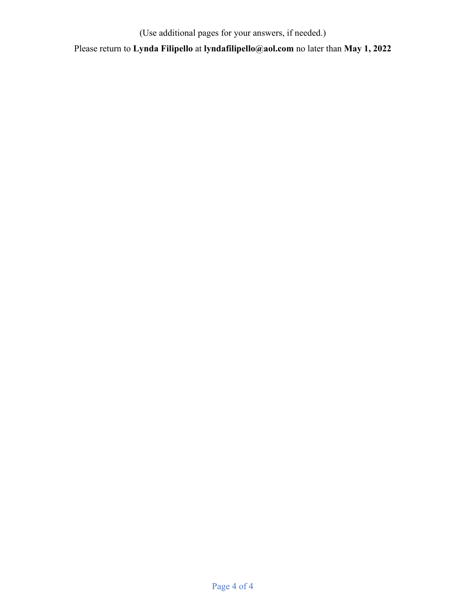(Use additional pages for your answers, if needed.)

Please return to **Lynda Filipello** at **lyndafilipello@aol.com** no later than **May 1, 2022**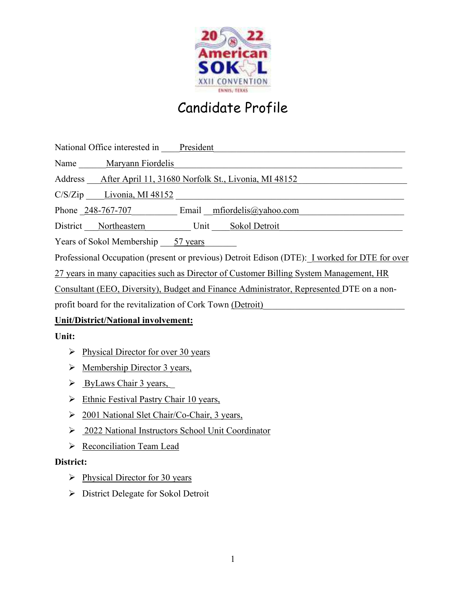

National Office interested in President President

Name Maryann Fiordelis

Address After April 11, 31680 Norfolk St., Livonia, MI 48152

 $C/S/Zip$   $Livonia, MI$  48152

Phone 248-767-707 Email mfiordelis@yahoo.com

District Northeastern Unit Sokol Detroit

Years of Sokol Membership \_\_\_57 years

Professional Occupation (present or previous) Detroit Edison (DTE): I worked for DTE for over

27 years in many capacities such as Director of Customer Billing System Management, HR

Consultant (EEO, Diversity), Budget and Finance Administrator, Represented DTE on a non-

profit board for the revitalization of Cork Town (Detroit)

## **Unit/District/National involvement:**

## **Unit:**

- $\triangleright$  Physical Director for over 30 years
- $\triangleright$  Membership Director 3 years,
- $\triangleright$  ByLaws Chair 3 years,
- $\triangleright$  Ethnic Festival Pastry Chair 10 years,
- 2001 National Slet Chair/Co-Chair, 3 years,
- 2022 National Instructors School Unit Coordinator
- $\triangleright$  Reconciliation Team Lead

## **District:**

- $\triangleright$  Physical Director for 30 years
- $\triangleright$  District Delegate for Sokol Detroit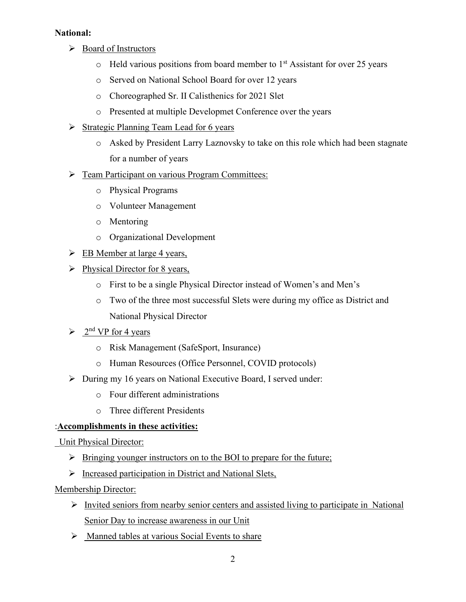### **National:**

- Board of Instructors
	- $\circ$  Held various positions from board member to 1<sup>st</sup> Assistant for over 25 years
	- o Served on National School Board for over 12 years
	- o Choreographed Sr. II Calisthenics for 2021 Slet
	- o Presented at multiple Developmet Conference over the years
- $\triangleright$  Strategic Planning Team Lead for 6 years
	- o Asked by President Larry Laznovsky to take on this role which had been stagnate for a number of years
- **Feam Participant on various Program Committees:** 
	- o Physical Programs
	- o Volunteer Management
	- o Mentoring
	- o Organizational Development
- $\triangleright$  EB Member at large 4 years,
- $\triangleright$  Physical Director for 8 years,
	- o First to be a single Physical Director instead of Women's and Men's
	- o Two of the three most successful Slets were during my office as District and National Physical Director
- $\geq 2^{nd} VP$  for 4 years
	- o Risk Management (SafeSport, Insurance)
	- o Human Resources (Office Personnel, COVID protocols)
- During my 16 years on National Executive Board, I served under:
	- o Four different administrations
	- o Three different Presidents

### :**Accomplishments in these activities:**

### Unit Physical Director:

- $\triangleright$  Bringing younger instructors on to the BOI to prepare for the future;
- > Increased participation in District and National Slets,

### Membership Director:

- $\triangleright$  Invited seniors from nearby senior centers and assisted living to participate in National Senior Day to increase awareness in our Unit
- $\triangleright$  Manned tables at various Social Events to share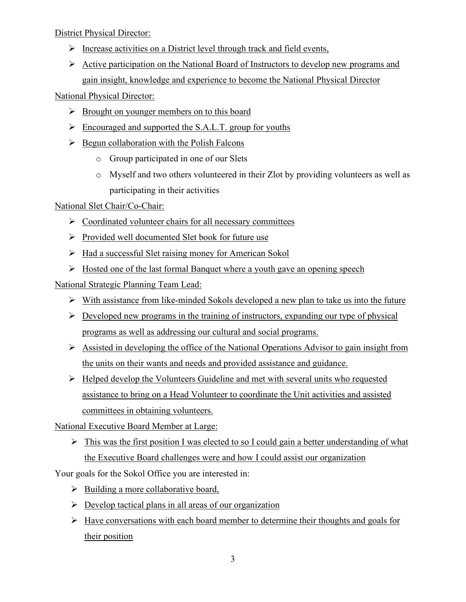District Physical Director:

- $\triangleright$  Increase activities on a District level through track and field events,
- $\triangleright$  Active participation on the National Board of Instructors to develop new programs and gain insight, knowledge and experience to become the National Physical Director

National Physical Director:

- $\triangleright$  Brought on younger members on to this board
- Encouraged and supported the S.A.L.T. group for youths
- $\triangleright$  Begun collaboration with the Polish Falcons
	- o Group participated in one of our Slets
	- o Myself and two others volunteered in their Zlot by providing volunteers as well as participating in their activities

## National Slet Chair/Co-Chair:

- $\triangleright$  Coordinated volunteer chairs for all necessary committees
- $\triangleright$  Provided well documented Slet book for future use
- $\triangleright$  Had a successful Slet raising money for American Sokol
- $\triangleright$  Hosted one of the last formal Banquet where a youth gave an opening speech

National Strategic Planning Team Lead:

- $\triangleright$  With assistance from like-minded Sokols developed a new plan to take us into the future
- $\triangleright$  Developed new programs in the training of instructors, expanding our type of physical programs as well as addressing our cultural and social programs.
- Assisted in developing the office of the National Operations Advisor to gain insight from the units on their wants and needs and provided assistance and guidance.
- $\triangleright$  Helped develop the Volunteers Guideline and met with several units who requested assistance to bring on a Head Volunteer to coordinate the Unit activities and assisted committees in obtaining volunteers.

National Executive Board Member at Large:

 $\triangleright$  This was the first position I was elected to so I could gain a better understanding of what the Executive Board challenges were and how I could assist our organization

Your goals for the Sokol Office you are interested in:

- $\triangleright$  Building a more collaborative board,
- $\triangleright$  Develop tactical plans in all areas of our organization
- $\triangleright$  Have conversations with each board member to determine their thoughts and goals for their position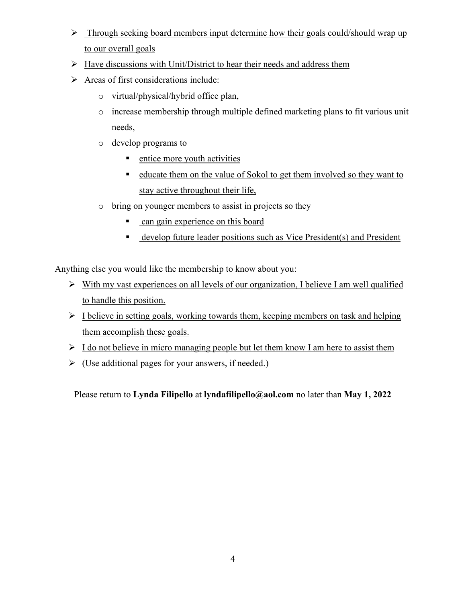- $\triangleright$  Through seeking board members input determine how their goals could/should wrap up to our overall goals
- $\triangleright$  Have discussions with Unit/District to hear their needs and address them
- $\triangleright$  Areas of first considerations include:
	- o virtual/physical/hybrid office plan,
	- o increase membership through multiple defined marketing plans to fit various unit needs,
	- o develop programs to
		- **entice more youth activities**
		- educate them on the value of Sokol to get them involved so they want to stay active throughout their life,
	- o bring on younger members to assist in projects so they
		- can gain experience on this board
		- develop future leader positions such as Vice President(s) and President

Anything else you would like the membership to know about you:

- $\triangleright$  With my vast experiences on all levels of our organization, I believe I am well qualified to handle this position.
- $\triangleright$  I believe in setting goals, working towards them, keeping members on task and helping them accomplish these goals.
- $\triangleright$  I do not believe in micro managing people but let them know I am here to assist them
- $\triangleright$  (Use additional pages for your answers, if needed.)

Please return to **Lynda Filipello** at **lyndafilipello@aol.com** no later than **May 1, 2022**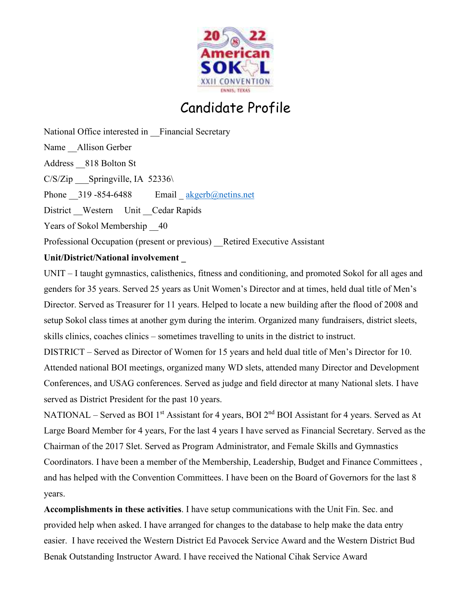

National Office interested in Financial Secretary Name Allison Gerber Address \_\_818 Bolton St  $C/S/Zip$  Springville, IA 52336 Phone  $319 - 854 - 6488$  Email  $\frac{akgerb(\omega)$  netins.net District Western Unit Cedar Rapids Years of Sokol Membership 40 Professional Occupation (present or previous) Retired Executive Assistant

## **Unit/District/National involvement \_**

UNIT – I taught gymnastics, calisthenics, fitness and conditioning, and promoted Sokol for all ages and genders for 35 years. Served 25 years as Unit Women's Director and at times, held dual title of Men's Director. Served as Treasurer for 11 years. Helped to locate a new building after the flood of 2008 and setup Sokol class times at another gym during the interim. Organized many fundraisers, district sleets, skills clinics, coaches clinics – sometimes travelling to units in the district to instruct.

DISTRICT – Served as Director of Women for 15 years and held dual title of Men's Director for 10. Attended national BOI meetings, organized many WD slets, attended many Director and Development Conferences, and USAG conferences. Served as judge and field director at many National slets. I have served as District President for the past 10 years.

NATIONAL – Served as BOI 1<sup>st</sup> Assistant for 4 years, BOI  $2<sup>nd</sup>$  BOI Assistant for 4 years. Served as At Large Board Member for 4 years, For the last 4 years I have served as Financial Secretary. Served as the Chairman of the 2017 Slet. Served as Program Administrator, and Female Skills and Gymnastics Coordinators. I have been a member of the Membership, Leadership, Budget and Finance Committees , and has helped with the Convention Committees. I have been on the Board of Governors for the last 8 years.

**Accomplishments in these activities**. I have setup communications with the Unit Fin. Sec. and provided help when asked. I have arranged for changes to the database to help make the data entry easier. I have received the Western District Ed Pavocek Service Award and the Western District Bud Benak Outstanding Instructor Award. I have received the National Cihak Service Award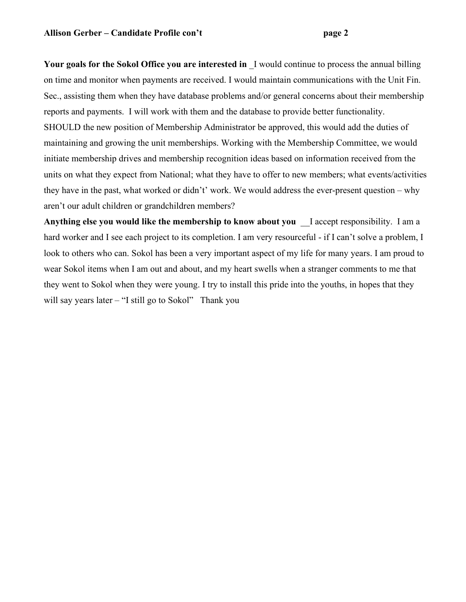Your goals for the Sokol Office you are interested in I would continue to process the annual billing on time and monitor when payments are received. I would maintain communications with the Unit Fin. Sec., assisting them when they have database problems and/or general concerns about their membership reports and payments. I will work with them and the database to provide better functionality. SHOULD the new position of Membership Administrator be approved, this would add the duties of maintaining and growing the unit memberships. Working with the Membership Committee, we would initiate membership drives and membership recognition ideas based on information received from the units on what they expect from National; what they have to offer to new members; what events/activities they have in the past, what worked or didn't' work. We would address the ever-present question – why aren't our adult children or grandchildren members?

**Anything else you would like the membership to know about you** \_\_I accept responsibility. I am a hard worker and I see each project to its completion. I am very resourceful - if I can't solve a problem, I look to others who can. Sokol has been a very important aspect of my life for many years. I am proud to wear Sokol items when I am out and about, and my heart swells when a stranger comments to me that they went to Sokol when they were young. I try to install this pride into the youths, in hopes that they will say years later – "I still go to Sokol" Thank you